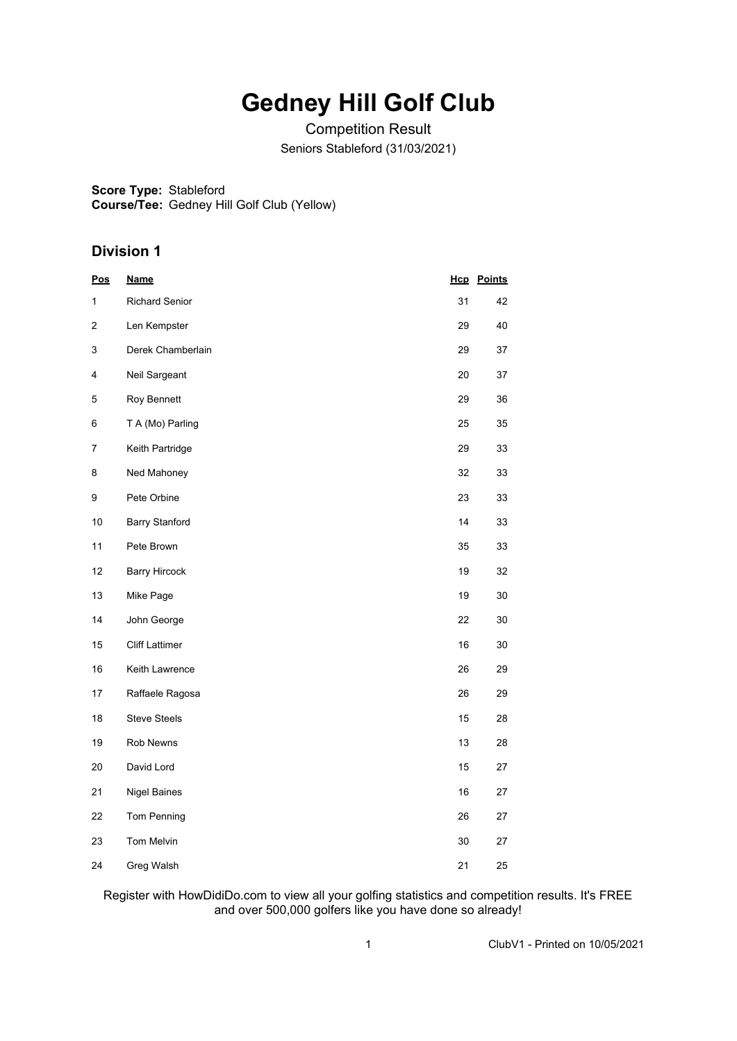## **Gedney Hill Golf Club**

Competition Result Seniors Stableford (31/03/2021)

**Score Type:** Stableford

**Course/Tee:** Gedney Hill Golf Club (Yellow)

## **Division 1**

| <u>Pos</u> | <u>Name</u>           |    | <b>Hcp</b> Points |
|------------|-----------------------|----|-------------------|
| 1          | <b>Richard Senior</b> | 31 | 42                |
| 2          | Len Kempster          | 29 | 40                |
| 3          | Derek Chamberlain     | 29 | 37                |
| 4          | Neil Sargeant         | 20 | 37                |
| 5          | Roy Bennett           | 29 | 36                |
| 6          | T A (Mo) Parling      | 25 | 35                |
| 7          | Keith Partridge       | 29 | 33                |
| 8          | Ned Mahoney           | 32 | 33                |
| 9          | Pete Orbine           | 23 | 33                |
| 10         | <b>Barry Stanford</b> | 14 | 33                |
| 11         | Pete Brown            | 35 | 33                |
| 12         | <b>Barry Hircock</b>  | 19 | 32                |
| 13         | Mike Page             | 19 | 30                |
| 14         | John George           | 22 | 30                |
| 15         | <b>Cliff Lattimer</b> | 16 | 30                |
| 16         | Keith Lawrence        | 26 | 29                |
| 17         | Raffaele Ragosa       | 26 | 29                |
| 18         | <b>Steve Steels</b>   | 15 | 28                |
| 19         | Rob Newns             | 13 | 28                |
| 20         | David Lord            | 15 | 27                |
| 21         | <b>Nigel Baines</b>   | 16 | 27                |
| 22         | Tom Penning           | 26 | 27                |
| 23         | Tom Melvin            | 30 | 27                |
| 24         | Greg Walsh            | 21 | 25                |

Register with HowDidiDo.com to view all your golfing statistics and competition results. It's FREE and over 500,000 golfers like you have done so already!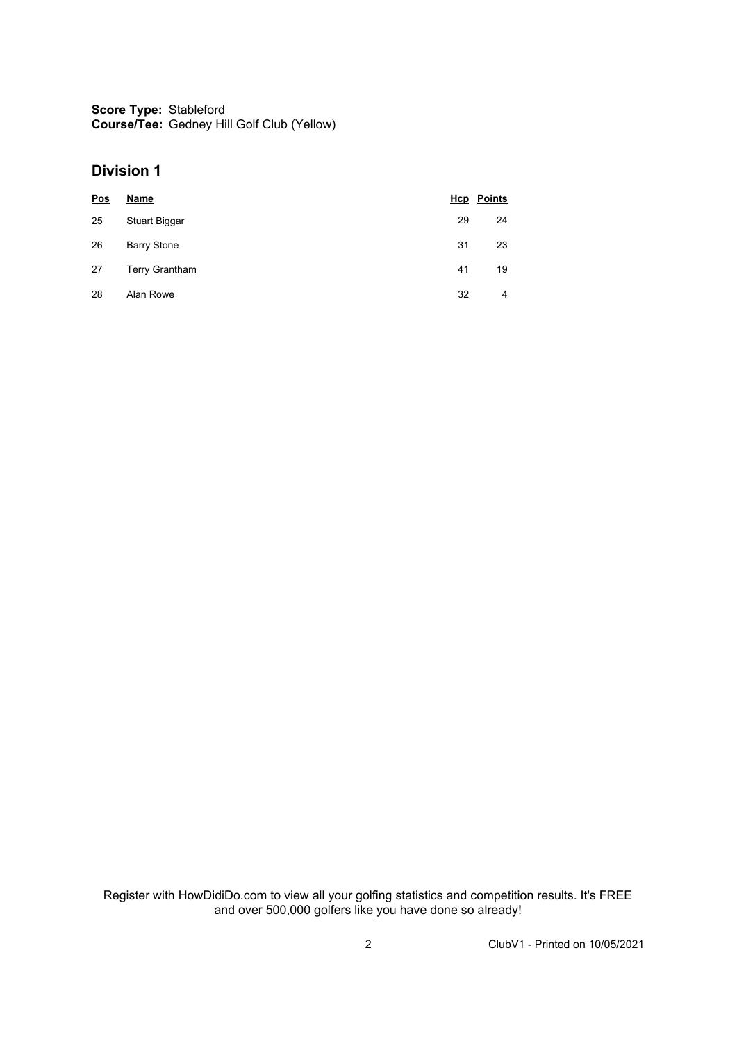**Score Type:** Stableford **Course/Tee:** Gedney Hill Golf Club (Yellow)

## **Division 1**

| <u>Pos</u> | Name                  |    | <b>Hcp</b> Points |
|------------|-----------------------|----|-------------------|
| 25         | Stuart Biggar         | 29 | 24                |
| 26         | <b>Barry Stone</b>    | 31 | 23                |
| 27         | <b>Terry Grantham</b> | 41 | 19                |
| 28         | Alan Rowe             | 32 | 4                 |

Register with HowDidiDo.com to view all your golfing statistics and competition results. It's FREE and over 500,000 golfers like you have done so already!